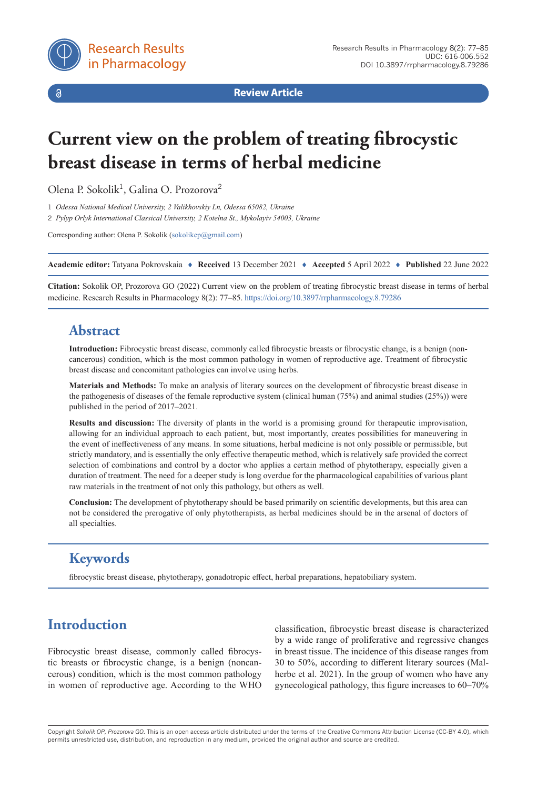

 $\delta$ 

**Review Article**

# **Current view on the problem of treating fibrocystic breast disease in terms of herbal medicine**

Olena P. Sokolik<sup>1</sup>, Galina O. Prozorova<sup>2</sup>

1 *Odessa National Medical University, 2 Valikhovskiy Ln, Odessa 65082, Ukraine*

2 *Pylyp Orlyk International Classical University, 2 Kotelna St., Mykolayiv 54003, Ukraine*

Corresponding author: Olena P. Sokolik [\(sokolikep@gmail.com\)](mailto:sokolikep@gmail.com)

**Academic editor:** Tatyana Pokrovskaia ♦ **Received** 13 December 2021 ♦ **Accepted** 5 April 2022 ♦ **Published** 22 June 2022

**Citation:** Sokolik OP, Prozorova GO (2022) Current view on the problem of treating fibrocystic breast disease in terms of herbal medicine. Research Results in Pharmacology 8(2): 77–85.<https://doi.org/10.3897/rrpharmacology.8.79286>

## **Abstract**

**Introduction:** Fibrocystic breast disease, commonly called fibrocystic breasts or fibrocystic change, is a benign (noncancerous) condition, which is the most common pathology in women of reproductive age. Treatment of fibrocystic breast disease and concomitant pathologies can involve using herbs.

**Materials and Methods:** To make an analysis of literary sources on the development of fibrocystic breast disease in the pathogenesis of diseases of the female reproductive system (clinical human (75%) and animal studies (25%)) were published in the period of 2017–2021.

**Results and discussion:** The diversity of plants in the world is a promising ground for therapeutic improvisation, allowing for an individual approach to each patient, but, most importantly, creates possibilities for maneuvering in the event of ineffectiveness of any means. In some situations, herbal medicine is not only possible or permissible, but strictly mandatory, and is essentially the only effective therapeutic method, which is relatively safe provided the correct selection of combinations and control by a doctor who applies a certain method of phytotherapy, especially given a duration of treatment. The need for a deeper study is long overdue for the pharmacological capabilities of various plant raw materials in the treatment of not only this pathology, but others as well.

**Conclusion:** The development of phytotherapy should be based primarily on scientific developments, but this area can not be considered the prerogative of only phytotherapists, as herbal medicines should be in the arsenal of doctors of all specialties.

## **Keywords**

fibrocystic breast disease, phytotherapy, gonadotropic effect, herbal preparations, hepatobiliary system.

## **Introduction**

Fibrocystic breast disease, commonly called fibrocystic breasts or fibrocystic change, is a benign (noncancerous) condition, which is the most common pathology in women of reproductive age. According to the WHO

classification, fibrocystic breast disease is characterized by a wide range of proliferative and regressive changes in breast tissue. The incidence of this disease ranges from 30 to 50%, according to different literary sources (Malherbe et al. 2021). In the group of women who have any gynecological pathology, this figure increases to 60–70%

Copyright *Sokolik OP, Prozorova GO.* This is an open access article distributed under the terms of the Creative Commons Attribution License (CC-BY 4.0), which permits unrestricted use, distribution, and reproduction in any medium, provided the original author and source are credited.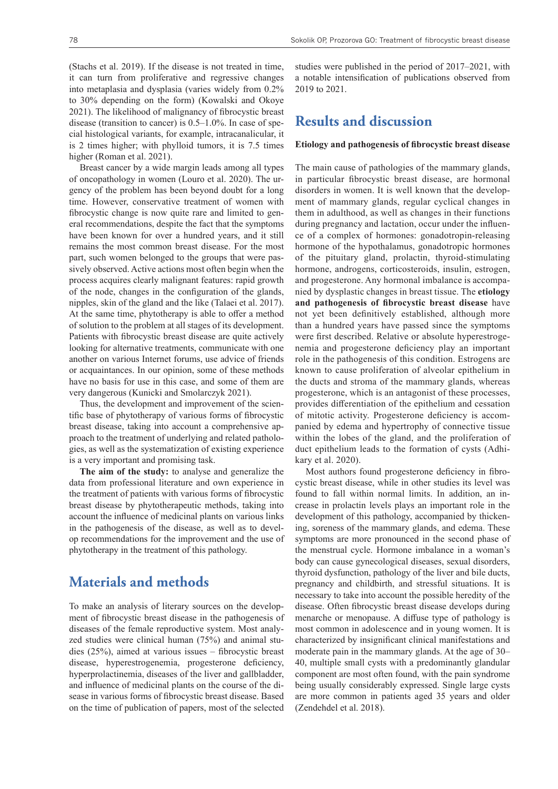(Stachs et al. 2019). If the disease is not treated in time, it can turn from proliferative and regressive changes into metaplasia and dysplasia (varies widely from 0.2% to 30% depending on the form) (Kowalski and Okoye 2021). The likelihood of malignancy of fibrocystic breast disease (transition to cancer) is 0.5–1.0%. In case of special histological variants, for example, intracanalicular, it is 2 times higher; with phylloid tumors, it is 7.5 times higher (Roman et al. 2021).

Breast cancer by a wide margin leads among all types of oncopathology in women (Louro et al. 2020). The urgency of the problem has been beyond doubt for a long time. However, conservative treatment of women with fibrocystic change is now quite rare and limited to general recommendations, despite the fact that the symptoms have been known for over a hundred years, and it still remains the most common breast disease. For the most part, such women belonged to the groups that were passively observed. Active actions most often begin when the process acquires clearly malignant features: rapid growth of the node, changes in the configuration of the glands, nipples, skin of the gland and the like (Talaei et al. 2017). At the same time, phytotherapy is able to offer a method of solution to the problem at all stages of its development. Patients with fibrocystic breast disease are quite actively looking for alternative treatments, communicate with one another on various Internet forums, use advice of friends or acquaintances. In our opinion, some of these methods have no basis for use in this case, and some of them are very dangerous (Kunicki and Smolarczyk 2021).

Thus, the development and improvement of the scientific base of phytotherapy of various forms of fibrocystic breast disease, taking into account a comprehensive approach to the treatment of underlying and related pathologies, as well as the systematization of existing experience is a very important and promising task.

**The aim of the study:** to analyse and generalize the data from professional literature and own experience in the treatment of patients with various forms of fibrocystic breast disease by phytotherapeutic methods, taking into account the influence of medicinal plants on various links in the pathogenesis of the disease, as well as to develop recommendations for the improvement and the use of phytotherapy in the treatment of this pathology.

## **Materials and methods**

To make an analysis of literary sources on the development of fibrocystic breast disease in the pathogenesis of diseases of the female reproductive system. Most analyzed studies were clinical human (75%) and animal studies (25%), aimed at various issues – fibrocystic breast disease, hyperestrogenemia, progesterone deficiency, hyperprolactinemia, diseases of the liver and gallbladder, and influence of medicinal plants on the course of the disease in various forms of fibrocystic breast disease. Based on the time of publication of papers, most of the selected studies were published in the period of 2017–2021, with a notable intensification of publications observed from 2019 to 2021.

### **Results and discussion**

#### **Etiology and pathogenesis of fibrocystic breast disease**

The main cause of pathologies of the mammary glands, in particular fibrocystic breast disease, are hormonal disorders in women. It is well known that the development of mammary glands, regular cyclical changes in them in adulthood, as well as changes in their functions during pregnancy and lactation, occur under the influence of a complex of hormones: gonadotropin-releasing hormone of the hypothalamus, gonadotropic hormones of the pituitary gland, prolactin, thyroid-stimulating hormone, androgens, corticosteroids, insulin, estrogen, and progesterone. Any hormonal imbalance is accompanied by dysplastic changes in breast tissue. The **etiology and pathogenesis of fibrocystic breast disease** have not yet been definitively established, although more than a hundred years have passed since the symptoms were first described. Relative or absolute hyperestrogenemia and progesterone deficiency play an important role in the pathogenesis of this condition. Estrogens are known to cause proliferation of alveolar epithelium in the ducts and stroma of the mammary glands, whereas progesterone, which is an antagonist of these processes, provides differentiation of the epithelium and cessation of mitotic activity. Progesterone deficiency is accompanied by edema and hypertrophy of connective tissue within the lobes of the gland, and the proliferation of duct epithelium leads to the formation of cysts (Adhikary et al. 2020).

Most authors found progesterone deficiency in fibrocystic breast disease, while in other studies its level was found to fall within normal limits. In addition, an increase in prolactin levels plays an important role in the development of this pathology, accompanied by thickening, soreness of the mammary glands, and edema. These symptoms are more pronounced in the second phase of the menstrual cycle. Hormone imbalance in a woman's body can cause gynecological diseases, sexual disorders, thyroid dysfunction, pathology of the liver and bile ducts, pregnancy and childbirth, and stressful situations. It is necessary to take into account the possible heredity of the disease. Often fibrocystic breast disease develops during menarche or menopause. A diffuse type of pathology is most common in adolescence and in young women. It is characterized by insignificant clinical manifestations and moderate pain in the mammary glands. At the age of 30– 40, multiple small cysts with a predominantly glandular component are most often found, with the pain syndrome being usually considerably expressed. Single large cysts are more common in patients aged 35 years and older (Zendehdel et al. 2018).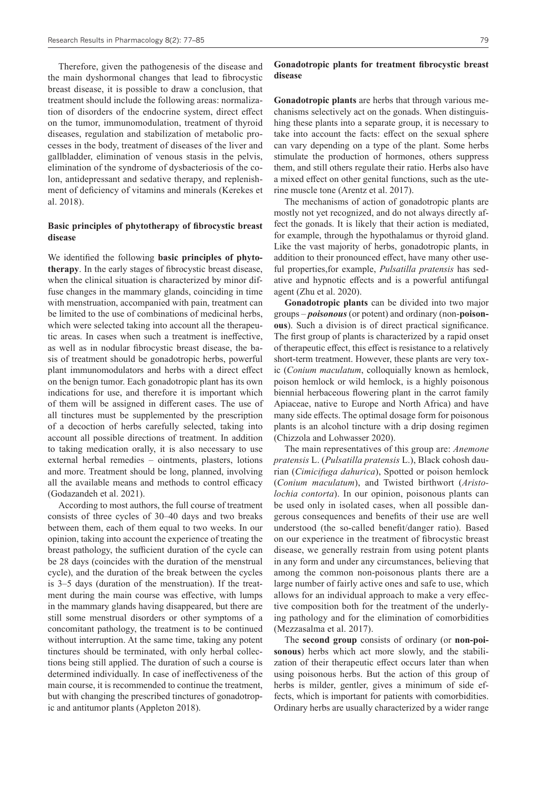Therefore, given the pathogenesis of the disease and the main dyshormonal changes that lead to fibrocystic breast disease, it is possible to draw a conclusion, that treatment should include the following areas: normalization of disorders of the endocrine system, direct effect on the tumor, immunomodulation, treatment of thyroid diseases, regulation and stabilization of metabolic processes in the body, treatment of diseases of the liver and gallbladder, elimination of venous stasis in the pelvis, elimination of the syndrome of dysbacteriosis of the colon, antidepressant and sedative therapy, and replenishment of deficiency of vitamins and minerals (Kerekes et al. 2018).

#### **Basic principles of phytotherapy of fibrocystic breast disease**

We identified the following **basic principles of phytotherapy**. In the early stages of fibrocystic breast disease, when the clinical situation is characterized by minor diffuse changes in the mammary glands, coinciding in time with menstruation, accompanied with pain, treatment can be limited to the use of combinations of medicinal herbs, which were selected taking into account all the therapeutic areas. In cases when such a treatment is ineffective, as well as in nodular fibrocystic breast disease, the basis of treatment should be gonadotropic herbs, powerful plant immunomodulators and herbs with a direct effect on the benign tumor. Each gonadotropic plant has its own indications for use, and therefore it is important which of them will be assigned in different cases. The use of all tinctures must be supplemented by the prescription of a decoction of herbs carefully selected, taking into account all possible directions of treatment. In addition to taking medication orally, it is also necessary to use external herbal remedies – ointments, plasters, lotions and more. Treatment should be long, planned, involving all the available means and methods to control efficacy (Godazandeh et al. 2021).

According to most authors, the full course of treatment consists of three cycles of 30–40 days and two breaks between them, each of them equal to two weeks. In our opinion, taking into account the experience of treating the breast pathology, the sufficient duration of the cycle can be 28 days (coincides with the duration of the menstrual cycle), and the duration of the break between the cycles is 3–5 days (duration of the menstruation). If the treatment during the main course was effective, with lumps in the mammary glands having disappeared, but there are still some menstrual disorders or other symptoms of a concomitant pathology, the treatment is to be continued without interruption. At the same time, taking any potent tinctures should be terminated, with only herbal collections being still applied. The duration of such a course is determined individually. In case of ineffectiveness of the main course, it is recommended to continue the treatment, but with changing the prescribed tinctures of gonadotropic and antitumor plants (Appleton 2018).

#### **Gonadotropic plants for treatment fibrocystic breast disease**

**Gonadotropic plants** are herbs that through various mechanisms selectively act on the gonads. When distinguishing these plants into a separate group, it is necessary to take into account the facts: effect on the sexual sphere can vary depending on a type of the plant. Some herbs stimulate the production of hormones, others suppress them, and still others regulate their ratio. Herbs also have a mixed effect on other genital functions, such as the uterine muscle tone (Arentz et al. 2017).

The mechanisms of action of gonadotropic plants are mostly not yet recognized, and do not always directly affect the gonads. It is likely that their action is mediated, for example, through the hypothalamus or thyroid gland. Like the vast majority of herbs, gonadotropic plants, in addition to their pronounced effect, have many other useful properties,for example, *Pulsatilla pratensis* has sedative and hypnotic effects and is a powerful antifungal agent (Zhu et al. 2020).

**Gonadotropic plants** can be divided into two major groups – *poisonous* (or potent) and ordinary (non-**poisonous**). Such a division is of direct practical significance. The first group of plants is characterized by a rapid onset of therapeutic effect, this effect is resistance to a relatively short-term treatment. However, these plants are very toxic (*Conium maculatum*, colloquially known as hemlock, poison hemlock or wild hemlock, is a highly poisonous biennial herbaceous flowering plant in the carrot family Apiaceae, native to Europe and North Africa) and have many side effects. The optimal dosage form for poisonous plants is an alcohol tincture with a drip dosing regimen (Chizzola and Lohwasser 2020).

The main representatives of this group are: *Anemone pratensis* L. (*Pulsatilla pratensis* L.), Black cohosh daurian (*Cimicifuga dahurica*), Spotted or poison hemlock (*Conium maculatum*), and Twisted birthwort (*Aristolochia contorta*). In our opinion, poisonous plants can be used only in isolated cases, when all possible dangerous consequences and benefits of their use are well understood (the so-called benefit/danger ratio). Based on our experience in the treatment of fibrocystic breast disease, we generally restrain from using potent plants in any form and under any circumstances, believing that among the common non-poisonous plants there are a large number of fairly active ones and safe to use, which allows for an individual approach to make a very effective composition both for the treatment of the underlying pathology and for the elimination of comorbidities (Mezzasalma et al. 2017).

The **second group** consists of ordinary (or **non-poisonous**) herbs which act more slowly, and the stabilization of their therapeutic effect occurs later than when using poisonous herbs. But the action of this group of herbs is milder, gentler, gives a minimum of side effects, which is important for patients with comorbidities. Ordinary herbs are usually characterized by a wider range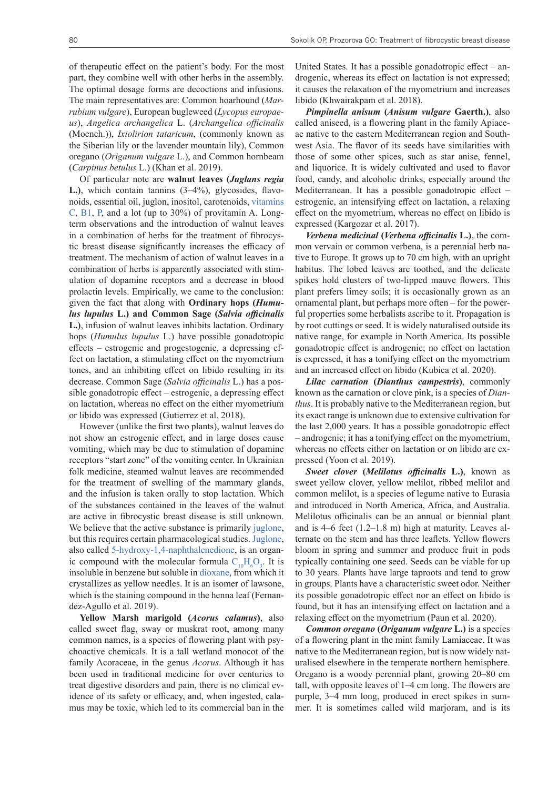of therapeutic effect on the patient's body. For the most part, they combine well with other herbs in the assembly. The optimal dosage forms are decoctions and infusions. The main representatives are: Common hoarhound (*Marrubium vulgare*), European bugleweed (*Lycopus europaeus*), *Angelica archangelica* L. (*Archangelica officinalis* (Moench.)), *Ixiolirion tataricum*, (commonly known as the Siberian lily or the lavender mountain lily), Common oregano (*Origanum vulgare* L.), and Common hornbeam (*Carpinus betulus* L.) (Khan et al. 2019).

Of particular note are **walnut leaves (***Juglans regia* **L.)**, which contain tannins (3–4%), glycosides, flavonoids, essential oil, juglon, inositol, carotenoids, vitamins C, B1, P, and a lot (up to 30%) of provitamin A. Longterm observations and the introduction of walnut leaves in a combination of herbs for the treatment of fibrocystic breast disease significantly increases the efficacy of treatment. The mechanism of action of walnut leaves in a combination of herbs is apparently associated with stimulation of dopamine receptors and a decrease in blood prolactin levels. Empirically, we came to the conclusion: given the fact that along with **Ordinary hops (***Humulus lupulus* **L.) and Common Sage (***Salvia officinalis* **L.)**, infusion of walnut leaves inhibits lactation. Ordinary hops (*Humulus lupulus* L.) have possible gonadotropic effects – estrogenic and progestogenic, a depressing effect on lactation, a stimulating effect on the myometrium tones, and an inhibiting effect on libido resulting in its decrease. Common Sage (*Salvia officinalis* L.) has a possible gonadotropic effect – estrogenic, a depressing effect on lactation, whereas no effect on the either myometrium or libido was expressed (Gutierrez et al. 2018).

However (unlike the first two plants), walnut leaves do not show an estrogenic effect, and in large doses cause vomiting, which may be due to stimulation of dopamine receptors "start zone" of the vomiting center. In Ukrainian folk medicine, steamed walnut leaves are recommended for the treatment of swelling of the mammary glands, and the infusion is taken orally to stop lactation. Which of the substances contained in the leaves of the walnut are active in fibrocystic breast disease is still unknown. We believe that the active substance is primarily juglone, but this requires certain pharmacological studies. Juglone, also called 5-hydroxy-1,4-naphthalenedione, is an organic compound with the molecular formula  $C_{10}H_6O_3$ . It is insoluble in benzene but soluble in dioxane, from which it crystallizes as yellow needles. It is an isomer of lawsone, which is the staining compound in the henna leaf (Fernandez-Agullo et al. 2019).

**Yellow Marsh marigold (***Acorus calamus***)**, also called sweet flag, sway or muskrat root, among many common names, is a species of flowering plant with psychoactive chemicals. It is a tall wetland monocot of the family Acoraceae, in the genus *Acorus*. Although it has been used in traditional medicine for over centuries to treat digestive disorders and pain, there is no clinical evidence of its safety or efficacy, and, when ingested, calamus may be toxic, which led to its commercial ban in the United States. It has a possible gonadotropic effect – androgenic, whereas its effect on lactation is not expressed; it causes the relaxation of the myometrium and increases libido (Khwairakpam et al. 2018).

*Pimpinella anisum* **(***Anisum vulgare* **Gaerth.)**, also called aniseed, is a flowering plant in the family Apiaceae native to the eastern Mediterranean region and Southwest Asia. The flavor of its seeds have similarities with those of some other spices, such as star anise, fennel, and liquorice. It is widely cultivated and used to flavor food, candy, and alcoholic drinks, especially around the Mediterranean. It has a possible gonadotropic effect – estrogenic, an intensifying effect on lactation, a relaxing effect on the myometrium, whereas no effect on libido is expressed (Kargozar et al. 2017).

*Verbena medicinal* **(***Verbena officinalis* **L.)**, the common vervain or common verbena, is a perennial herb native to Europe. It grows up to 70 cm high, with an upright habitus. The lobed leaves are toothed, and the delicate spikes hold clusters of two-lipped mauve flowers. This plant prefers limey soils; it is occasionally grown as an ornamental plant, but perhaps more often – for the powerful properties some herbalists ascribe to it. Propagation is by root cuttings or seed. It is widely naturalised outside its native range, for example in North America. Its possible gonadotropic effect is androgenic; no effect on lactation is expressed, it has a tonifying effect on the myometrium and an increased effect on libido (Kubica et al. 2020).

*Lilac carnation* **(***Dianthus campestris***)**, commonly known as the carnation or clove pink, is a species of *Dianthus*. It is probably native to the Mediterranean region, but its exact range is unknown due to extensive cultivation for the last 2,000 years. It has a possible gonadotropic effect – androgenic; it has a tonifying effect on the myometrium, whereas no effects either on lactation or on libido are expressed (Yoon et al. 2019).

*Sweet clover* **(***Melilotus officinalis* **L.)**, known as sweet yellow clover, yellow melilot, ribbed melilot and common melilot, is a species of legume native to Eurasia and introduced in North America, Africa, and Australia. Melilotus officinalis can be an annual or biennial plant and is 4–6 feet (1.2–1.8 m) high at maturity. Leaves alternate on the stem and has three leaflets. Yellow flowers bloom in spring and summer and produce fruit in pods typically containing one seed. Seeds can be viable for up to 30 years. Plants have large taproots and tend to grow in groups. Plants have a characteristic sweet odor. Neither its possible gonadotropic effect nor an effect on libido is found, but it has an intensifying effect on lactation and a relaxing effect on the myometrium (Paun et al. 2020).

*Common oregano* **(***Origanum vulgare* **L.)** is a species of a flowering plant in the mint family Lamiaceae. It was native to the Mediterranean region, but is now widely naturalised elsewhere in the temperate northern hemisphere. Oregano is a woody perennial plant, growing 20–80 cm tall, with opposite leaves of 1–4 cm long. The flowers are purple, 3–4 mm long, produced in erect spikes in summer. It is sometimes called wild marjoram, and is its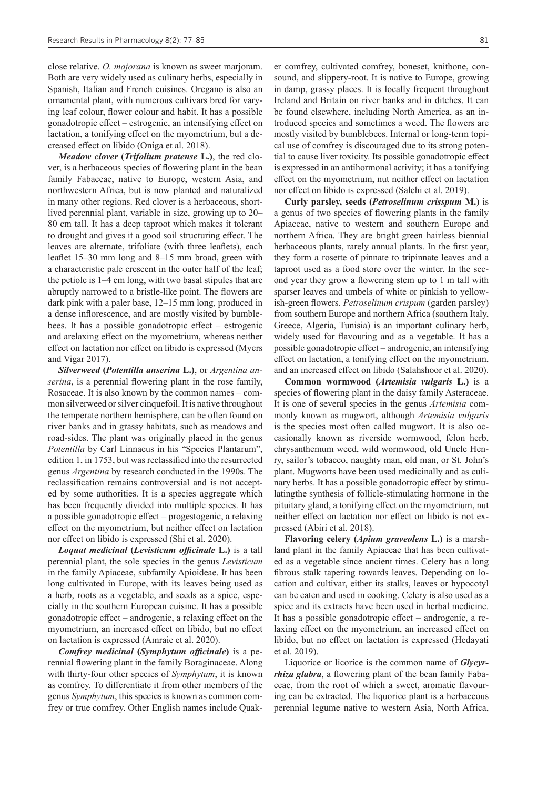close relative. *O. majorana* is known as sweet marjoram. Both are very widely used as culinary herbs, especially in Spanish, Italian and French cuisines. Oregano is also an ornamental plant, with numerous cultivars bred for varying leaf colour, flower colour and habit. It has a possible gonadotropic effect – estrogenic, an intensifying effect on lactation, a tonifying effect on the myometrium, but a decreased effect on libido (Oniga et al. 2018).

*Meadow clover* **(***Trifolium pratense* **L.)**, the red clover, is a herbaceous species of flowering plant in the bean family Fabaceae, native to Europe, western Asia, and northwestern Africa, but is now planted and naturalized in many other regions. Red clover is a herbaceous, shortlived perennial plant, variable in size, growing up to 20– 80 cm tall. It has a deep taproot which makes it tolerant to drought and gives it a good soil structuring effect. The leaves are alternate, trifoliate (with three leaflets), each leaflet 15–30 mm long and 8–15 mm broad, green with a characteristic pale crescent in the outer half of the leaf; the petiole is 1–4 cm long, with two basal stipules that are abruptly narrowed to a bristle-like point. The flowers are dark pink with a paler base, 12–15 mm long, produced in a dense inflorescence, and are mostly visited by bumblebees. It has a possible gonadotropic effect – estrogenic and arelaxing effect on the myometrium, whereas neither effect on lactation nor effect on libido is expressed (Myers and Vigar 2017).

*Silverweed* **(***Potentilla anserina* **L.)**, or *Argentina anserina*, is a perennial flowering plant in the rose family, Rosaceae. It is also known by the common names – common silverweed or silver cinquefoil. It is native throughout the temperate northern hemisphere, can be often found on river banks and in grassy habitats, such as meadows and road-sides. The plant was originally placed in the genus *Potentilla* by Carl Linnaeus in his "Species Plantarum", edition 1, in 1753, but was reclassified into the resurrected genus *Argentina* by research conducted in the 1990s. The reclassification remains controversial and is not accepted by some authorities. It is a species aggregate which has been frequently divided into multiple species. It has a possible gonadotropic effect – progestogenic, a relaxing effect on the myometrium, but neither effect on lactation nor effect on libido is expressed (Shi et al. 2020).

*Loquat medicinal* **(***Levisticum officinale* **L.)** is a tall perennial plant, the sole species in the genus *Levisticum* in the family Apiaceae, subfamily Apioideae. It has been long cultivated in Europe, with its leaves being used as a herb, roots as a vegetable, and seeds as a spice, especially in the southern European cuisine. It has a possible gonadotropic effect – androgenic, a relaxing effect on the myometrium, an increased effect on libido, but no effect on lactation is expressed (Amraie et al. 2020).

*Comfrey medicinal* **(***Symphytum officinаle***)** is a perennial flowering plant in the family Boraginaceae. Along with thirty-four other species of *Symphytum*, it is known as comfrey. To differentiate it from other members of the genus *Symphytum*, this species is known as common comfrey or true comfrey. Other English names include Quaker comfrey, cultivated comfrey, boneset, knitbone, consound, and slippery-root. It is native to Europe, growing in damp, grassy places. It is locally frequent throughout Ireland and Britain on river banks and in ditches. It can be found elsewhere, including North America, as an introduced species and sometimes a weed. The flowers are mostly visited by bumblebees. Internal or long-term topical use of comfrey is discouraged due to its strong potential to cause liver toxicity. Its possible gonadotropic effect is expressed in an antihormonal activity; it has a tonifying effect on the myometrium, nut neither effect on lactation nor effect on libido is expressed (Salehi et al. 2019).

**Curly parsley, seeds (***Petroselinum crisspum* **M.)** is a genus of two species of flowering plants in the family Apiaceae, native to western and southern Europe and northern Africa. They are bright green hairless biennial herbaceous plants, rarely annual plants. In the first year, they form a rosette of pinnate to tripinnate leaves and a taproot used as a food store over the winter. In the second year they grow a flowering stem up to 1 m tall with sparser leaves and umbels of white or pinkish to yellowish-green flowers. *Petroselinum crispum* (garden parsley) from southern Europe and northern Africa (southern Italy, Greece, Algeria, Tunisia) is an important culinary herb, widely used for flavouring and as a vegetable. It has a possible gonadotropic effect – androgenic, an intensifying effect on lactation, a tonifying effect on the myometrium, and an increased effect on libido (Salahshoor et al. 2020).

**Common wormwood (***Artemisia vulgaris* **L.)** is a species of flowering plant in the daisy family Asteraceae. It is one of several species in the genus *Artemisia* commonly known as mugwort, although *Artemisia vulgaris* is the species most often called mugwort. It is also occasionally known as riverside wormwood, felon herb, chrysanthemum weed, wild wormwood, old Uncle Henry, sailor's tobacco, naughty man, old man, or St. John's plant. Mugworts have been used medicinally and as culinary herbs. It has a possible gonadotropic effect by stimulatingthe synthesis of follicle-stimulating hormone in the pituitary gland, a tonifying effect on the myometrium, nut neither effect on lactation nor effect on libido is not expressed (Abiri et al. 2018).

**Flavoring celery (***Apium graveolens* **L.)** is a marshland plant in the family Apiaceae that has been cultivated as a vegetable since ancient times. Celery has a long fibrous stalk tapering towards leaves. Depending on location and cultivar, either its stalks, leaves or hypocotyl can be eaten and used in cooking. Celery is also used as a spice and its extracts have been used in herbal medicine. It has a possible gonadotropic effect – androgenic, a relaxing effect on the myometrium, an increased effect on libido, but no effect on lactation is expressed (Hedayati et al. 2019).

Liquorice or licorice is the common name of *Glycyrrhiza glabra*, a flowering plant of the bean family Fabaceae, from the root of which a sweet, aromatic flavouring can be extracted. The liquorice plant is a herbaceous perennial legume native to western Asia, North Africa,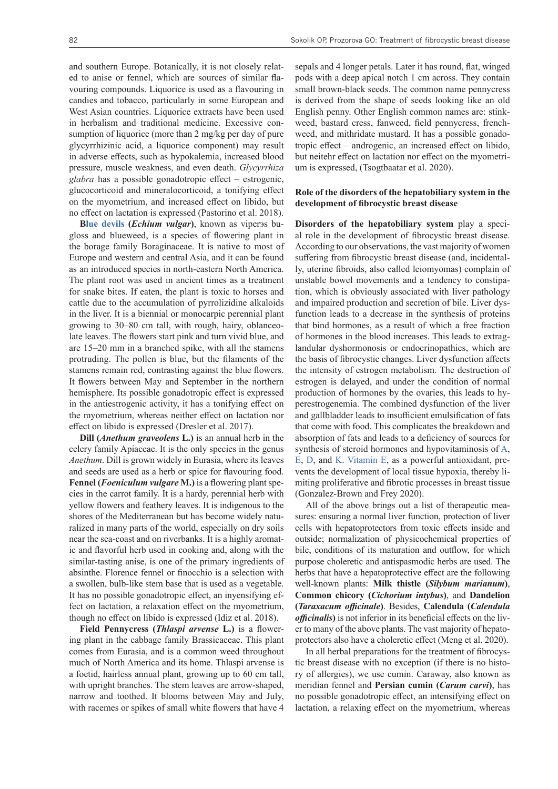and southern Europe. Botanically, it is not closely related to anise or fennel, which are sources of similar flavouring compounds. Liquorice is used as a flavouring in candies and tobacco, particularly in some European and West Asian countries. Liquorice extracts have been used in herbalism and traditional medicine. Excessive consumption of liquorice (more than 2 mg/kg per day of pure glycyrrhizinic acid, a liquorice component) may result in adverse effects, such as hypokalemia, increased blood pressure, muscle weakness, and even death. *Glycyrrhiza glabra* has a possible gonadotropic effect – estrogenic, glucocorticoid and mineralocorticoid, a tonifying effect on the myometrium, and increased effect on libido, but no effect on lactation is expressed (Pastorino et al. 2018).

**Blue devils (***Echium vulgar***)**, known as viperэs bugloss and blueweed, is a species of flowering plant in the borage family Boraginaceae. It is native to most of Europe and western and central Asia, and it can be found as an introduced species in north-eastern North America. The plant root was used in ancient times as a treatment for snake bites. If eaten, the plant is toxic to horses and cattle due to the accumulation of pyrrolizidine alkaloids in the liver. It is a biennial or monocarpic perennial plant growing to 30–80 cm tall, with rough, hairy, oblanceolate leaves. The flowers start pink and turn vivid blue, and are 15–20 mm in a branched spike, with all the stamens protruding. The pollen is blue, but the filaments of the stamens remain red, contrasting against the blue flowers. It flowers between May and September in the northern hemisphere. Its possible gonadotropic effect is expressed in the antiestrogenic activity, it has a tonifying effect on the myometrium, whereas neither effect on lactation nor effect on libido is expressed (Dresler et al. 2017).

**Dill (***Anethum graveolens* **L.)** is an annual herb in the celery family Apiaceae. It is the only species in the genus *Anethum*. Dill is grown widely in Eurasia, where its leaves and seeds are used as a herb or spice for flavouring food. **Fennel (***Foeniculum vulgare* **M.)** is a flowering plant species in the carrot family. It is a hardy, perennial herb with yellow flowers and feathery leaves. It is indigenous to the shores of the Mediterranean but has become widely naturalized in many parts of the world, especially on dry soils near the sea-coast and on riverbanks. It is a highly aromatic and flavorful herb used in cooking and, along with the similar-tasting anise, is one of the primary ingredients of absinthe. Florence fennel or finocchio is a selection with a swollen, bulb-like stem base that is used as a vegetable. It has no possible gonadotropic effect, an inyensifying effect on lactation, a relaxation effect on the myometrium, though no effect on libido is expressed (Idiz et al. 2018).

**Field Pennycress (***Thlaspi arvense* **L.)** is a flowering plant in the cabbage family Brassicaceae. This plant comes from Eurasia, and is a common weed throughout much of North America and its home. Thlaspi arvense is a foetid, hairless annual plant, growing up to 60 cm tall, with upright branches. The stem leaves are arrow-shaped, narrow and toothed. It blooms between May and July, with racemes or spikes of small white flowers that have 4

sepals and 4 longer petals. Later it has round, flat, winged pods with a deep apical notch 1 cm across. They contain small brown-black seeds. The common name pennycress is derived from the shape of seeds looking like an old English penny. Other English common names are: stinkweed, bastard cress, fanweed, field pennycress, frenchweed, and mithridate mustard. It has a possible gonadotropic effect – androgenic, an increased effect on libido, but neitehr effect on lactation nor effect on the myometrium is expressed, (Tsogtbaatar et al. 2020).

#### **Role of the disorders of the hepatobiliary system in the development of fibrocystic breast disease**

**Disorders of the hepatobiliary system** play a special role in the development of fibrocystic breast disease. According to our observations, the vast majority of women suffering from fibrocystic breast disease (and, incidentally, uterine fibroids, also called leiomyomas) complain of unstable bowel movements and a tendency to constipation, which is obviously associated with liver pathology and impaired production and secretion of bile. Liver dysfunction leads to a decrease in the synthesis of proteins that bind hormones, as a result of which a free fraction of hormones in the blood increases. This leads to extraglandular dyshormonosis or endocrinopathies, which are the basis of fibrocystic changes. Liver dysfunction affects the intensity of estrogen metabolism. The destruction of estrogen is delayed, and under the condition of normal production of hormones by the ovaries, this leads to hyperestrogenemia. The combined dysfunction of the liver and gallbladder leads to insufficient emulsification of fats that come with food. This complicates the breakdown and absorption of fats and leads to a deficiency of sources for synthesis of steroid hormones and hypovitaminosis of A, E, D, and K. Vitamin E, as a powerful antioxidant, prevents the development of local tissue hypoxia, thereby limiting proliferative and fibrotic processes in breast tissue (Gonzalez-Brown and Frey 2020).

All of the above brings out a list of therapeutic measures: ensuring a normal liver function, protection of liver cells with hepatoprotectors from toxic effects inside and outside; normalization of physicochemical properties of bile, conditions of its maturation and outflow, for which purpose choleretic and antispasmodic herbs are used. The herbs that have a hepatoprotective effect are the following well-known plants: **Milk thistle (***Silybum marianum***)**, **Common chicory (***Cichorium intybus***)**, and **Dandelion (***Taraxacum officinale***)**. Besides, **Calendula (***Calendula officinalis***)** is not inferior in its beneficial effects on the liver to many of the above plants. The vast majority of hepatoprotectors also have a choleretic effect (Meng et al. 2020).

In all herbal preparations for the treatment of fibrocystic breast disease with no exception (if there is no history of allergies), we use cumin. Caraway, also known as meridian fennel and **Persian cumin (***Carum carvi***)**, has no possible gonadotropic effect, an intensifying effect on lactation, a relaxing effect on the myometrium, whereas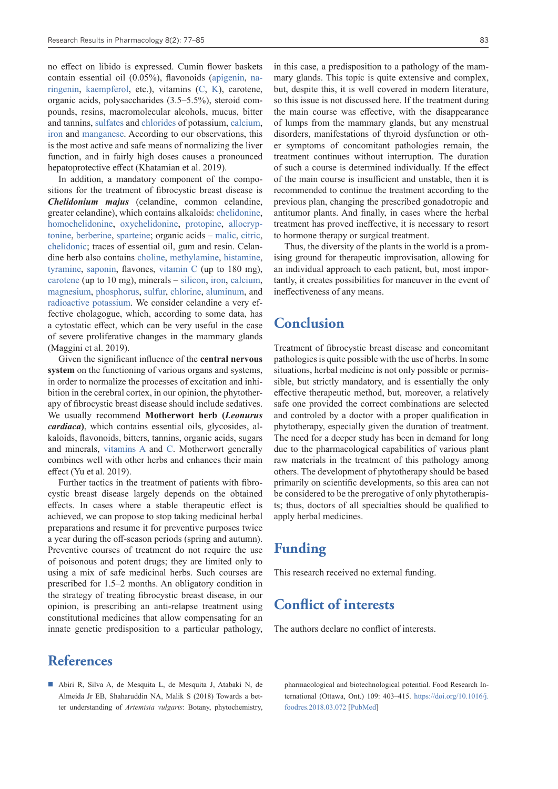no effect on libido is expressed. Cumin flower baskets contain essential oil (0.05%), flavonoids (apigenin, naringenin, kaempferol, etc.), vitamins (C, K), carotene, organic acids, polysaccharides (3.5–5.5%), steroid compounds, resins, macromolecular alcohols, mucus, bitter and tannins, sulfates and chlorides of potassium, calcium, iron and manganese. According to our observations, this is the most active and safe means of normalizing the liver function, and in fairly high doses causes a pronounced hepatoprotective effect (Khatamian et al. 2019).

In addition, a mandatory component of the compositions for the treatment of fibrocystic breast disease is *Chelidonium majus* (celandine, common celandine, greater celandine), which contains alkaloids: chelidonine, homochelidonine, oxychelidonine, protopine, allocryptonine, berberine, sparteine; organic acids – malic, citric, chelidonic; traces of essential oil, gum and resin. Celandine herb also contains choline, methylamine, histamine, tyramine, saponin, flavones, vitamin C (up to 180 mg), carotene (up to 10 mg), minerals – silicon, iron, calcium, magnesium, phosphorus, sulfur, chlorine, aluminum, and radioactive potassium. We consider celandine a very effective cholagogue, which, according to some data, has a cytostatic effect, which can be very useful in the case of severe proliferative changes in the mammary glands (Maggini et al. 2019).

Given the significant influence of the **central nervous system** on the functioning of various organs and systems, in order to normalize the processes of excitation and inhibition in the cerebral cortex, in our opinion, the phytotherapy of fibrocystic breast disease should include sedatives. We usually recommend **Motherwort herb (***Leonurus cardiaca***)**, which contains essential oils, glycosides, alkaloids, flavonoids, bitters, tannins, organic acids, sugars and minerals, vitamins A and C. Motherwort generally combines well with other herbs and enhances their main effect (Yu et al. 2019).

Further tactics in the treatment of patients with fibrocystic breast disease largely depends on the obtained effects. In cases where a stable therapeutic effect is achieved, we can propose to stop taking medicinal herbal preparations and resume it for preventive purposes twice a year during the off-season periods (spring and autumn). Preventive courses of treatment do not require the use of poisonous and potent drugs; they are limited only to using a mix of safe medicinal herbs. Such courses are prescribed for 1.5–2 months. An obligatory condition in the strategy of treating fibrocystic breast disease, in our opinion, is prescribing an anti-relapse treatment using constitutional medicines that allow compensating for an innate genetic predisposition to a particular pathology,

## **References**

 Abiri R, Silva A, de Mesquita L, de Mesquita J, Atabaki N, de Almeida Jr EB, Shaharuddin NA, Malik S (2018) Towards a better understanding of *Artemisia vulgaris*: Botany, phytochemistry, in this case, a predisposition to a pathology of the mammary glands. This topic is quite extensive and complex, but, despite this, it is well covered in modern literature, so this issue is not discussed here. If the treatment during the main course was effective, with the disappearance of lumps from the mammary glands, but any menstrual disorders, manifestations of thyroid dysfunction or other symptoms of concomitant pathologies remain, the treatment continues without interruption. The duration of such a course is determined individually. If the effect of the main course is insufficient and unstable, then it is recommended to continue the treatment according to the previous plan, changing the prescribed gonadotropic and antitumor plants. And finally, in cases where the herbal treatment has proved ineffective, it is necessary to resort to hormone therapy or surgical treatment.

Thus, the diversity of the plants in the world is a promising ground for therapeutic improvisation, allowing for an individual approach to each patient, but, most importantly, it creates possibilities for maneuver in the event of ineffectiveness of any means.

### **Conclusion**

Treatment of fibrocystic breast disease and concomitant pathologies is quite possible with the use of herbs. In some situations, herbal medicine is not only possible or permissible, but strictly mandatory, and is essentially the only effective therapeutic method, but, moreover, a relatively safe one provided the correct combinations are selected and controled by a doctor with a proper qualification in phytotherapy, especially given the duration of treatment. The need for a deeper study has been in demand for long due to the pharmacological capabilities of various plant raw materials in the treatment of this pathology among others. The development of phytotherapy should be based primarily on scientific developments, so this area can not be considered to be the prerogative of only phytotherapists; thus, doctors of all specialties should be qualified to apply herbal medicines.

## **Funding**

This research received no external funding.

## **Conflict of interests**

The authors declare no conflict of interests.

pharmacological and biotechnological potential. Food Research International (Ottawa, Ont.) 109: 403–415. [https://doi.org/10.1016/j.](https://doi.org/10.1016/j.foodres.2018.03.072) [foodres.2018.03.072](https://doi.org/10.1016/j.foodres.2018.03.072) [PubMed]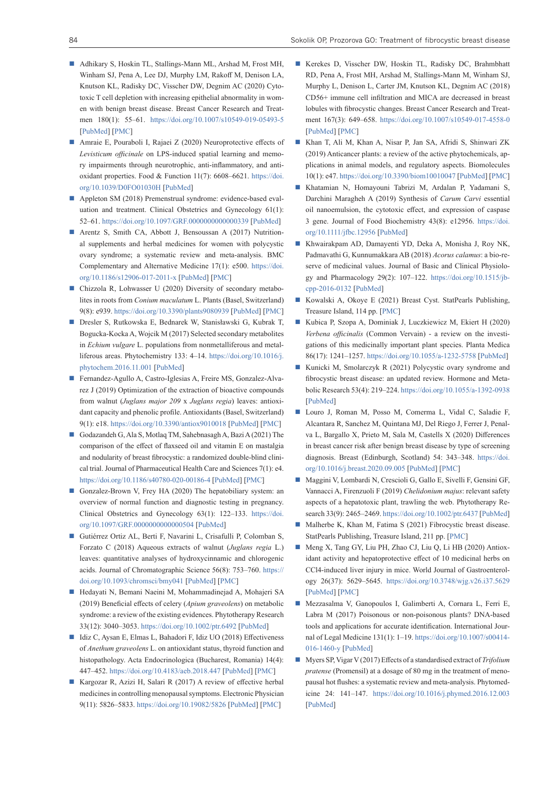- Adhikary S, Hoskin TL, Stallings-Mann ML, Arshad M, Frost MH, Winham SJ, Pena A, Lee DJ, Murphy LM, Rakoff M, Denison LA, Knutson KL, Radisky DC, Visscher DW, Degnim AC (2020) Cytotoxic T cell depletion with increasing epithelial abnormality in women with benign breast disease. Breast Cancer Research and Treatmen 180(1): 55–61. <https://doi.org/10.1007/s10549-019-05493-5> [PubMed] [PMC]
- Amraie E, Pouraboli I, Rajaei Z (2020) Neuroprotective effects of *Levisticum officinale* on LPS-induced spatial learning and memory impairments through neurotrophic, anti-inflammatory, and antioxidant properties. Food & Function 11(7): 6608–6621. [https://doi.](https://doi.org/10.1039/D0FO01030H) [org/10.1039/D0FO01030H](https://doi.org/10.1039/D0FO01030H) [PubMed]
- Appleton SM (2018) Premenstrual syndrome: evidence-based evaluation and treatment. Clinical Obstetrics and Gynecology 61(1): 52–61.<https://doi.org/10.1097/GRF.0000000000000339> [PubMed]
- Arentz S, Smith CA, Abbott J, Bensoussan A (2017) Nutritional supplements and herbal medicines for women with polycystic ovary syndrome; a systematic review and meta-analysis. BMC Complementary and Alternative Medicine 17(1): e500. [https://doi.](https://doi.org/10.1186/s12906-017-2011-x) [org/10.1186/s12906-017-2011-x](https://doi.org/10.1186/s12906-017-2011-x) [PubMed] [PMC]
- Chizzola R, Lohwasser U (2020) Diversity of secondary metabolites in roots from *Conium maculatum* L. Plants (Basel, Switzerland) 9(8): e939.<https://doi.org/10.3390/plants9080939> [PubMed] [PMC]
- Dresler S, Rutkowska E, Bednarek W, Stanisławski G, Kubrak T, Bogucka-Kocka A, Wojcik M (2017) Selected secondary metabolites in *Echium vulgare* L. populations from nonmetalliferous and metalliferous areas. Phytochemistry 133: 4–14. [https://doi.org/10.1016/j.](https://doi.org/10.1016/j.phytochem.2016.11.001) [phytochem.2016.11.001](https://doi.org/10.1016/j.phytochem.2016.11.001) [PubMed]
- Fernandez-Agullo A, Castro-Iglesias A, Freire MS, Gonzalez-Alvarez J (2019) Optimization of the extraction of bioactive compounds from walnut (*Juglans major 209* x *Juglans regia*) leaves: antioxidant capacity and phenolic profile. Antioxidants (Basel, Switzerland) 9(1): e18.<https://doi.org/10.3390/antiox9010018>[PubMed] [PMC]
- Godazandeh G, Ala S, Motlaq TM, Sahebnasagh A, Bazi A (2021) The comparison of the effect of flaxseed oil and vitamin E on mastalgia and nodularity of breast fibrocystic: a randomized double-blind clinical trial. Journal of Pharmaceutical Health Care and Sciences 7(1): e4. <https://doi.org/10.1186/s40780-020-00186-4>[PubMed] [PMC]
- Gonzalez-Brown V, Frey HA (2020) The hepatobiliary system: an overview of normal function and diagnostic testing in pregnancy. Clinical Obstetrics and Gynecology 63(1): 122–133. [https://doi.](https://doi.org/10.1097/GRF.0000000000000504) [org/10.1097/GRF.0000000000000504](https://doi.org/10.1097/GRF.0000000000000504) [PubMed]
- Gutiérrez Ortiz AL, Berti F, Navarini L, Crisafulli P, Colomban S, Forzato C (2018) Aqueous extracts of walnut (*Juglans regia* L.) leaves: quantitative analyses of hydroxycinnamic and chlorogenic acids. Journal of Chromatographic Science 56(8): 753–760. [https://](https://doi.org/10.1093/chromsci/bmy041) [doi.org/10.1093/chromsci/bmy041](https://doi.org/10.1093/chromsci/bmy041) [PubMed] [PMC]
- Hedayati N, Bemani Naeini M, Mohammadinejad A, Mohajeri SA (2019) Beneficial effects of celery (*Apium graveolens*) on metabolic syndrome: a review of the existing evidences. Phytotherapy Research 33(12): 3040–3053. <https://doi.org/10.1002/ptr.6492> [PubMed]
- Idiz C, Aysan E, Elmas L, Bahadori F, Idiz UO (2018) Effectiveness of *Anethum graveolens* L. on antioxidant status, thyroid function and histopathology. Acta Endocrinologica (Bucharest, Romania) 14(4): 447–452. <https://doi.org/10.4183/aeb.2018.447>[PubMed] [PMC]
- Kargozar R, Azizi H, Salari R (2017) A review of effective herbal medicines in controlling menopausal symptoms. Electronic Physician 9(11): 5826–5833.<https://doi.org/10.19082/5826> [PubMed] [PMC]
- Kerekes D, Visscher DW, Hoskin TL, Radisky DC, Brahmbhatt RD, Pena A, Frost MH, Arshad M, Stallings-Mann M, Winham SJ, Murphy L, Denison L, Carter JM, Knutson KL, Degnim AC (2018) CD56+ immune cell infiltration and MICA are decreased in breast lobules with fibrocystic changes. Breast Cancer Research and Treatment 167(3): 649–658. <https://doi.org/10.1007/s10549-017-4558-0> [PubMed] [PMC]
- Khan T, Ali M, Khan A, Nisar P, Jan SA, Afridi S, Shinwari ZK (2019) Anticancer plants: a review of the active phytochemicals, applications in animal models, and regulatory aspects. Biomolecules 10(1): e47. <https://doi.org/10.3390/biom10010047> [PubMed] [PMC]
- Khatamian N, Homayouni Tabrizi M, Ardalan P, Yadamani S, Darchini Maragheh A (2019) Synthesis of *Carum Carvi* essential oil nanoemulsion, the cytotoxic effect, and expression of caspase 3 gene. Journal of Food Biochemistry 43(8): e12956. [https://doi.](https://doi.org/10.1111/jfbc.12956) [org/10.1111/jfbc.12956](https://doi.org/10.1111/jfbc.12956) [PubMed]
- Khwairakpam AD, Damayenti YD, Deka A, Monisha J, Roy NK, Padmavathi G, Kunnumakkara AB (2018) *Acorus calamus*: a bio-reserve of medicinal values. Journal of Basic and Clinical Physiology and Pharmacology 29(2): 107–122. [https://doi.org/10.1515/jb](https://doi.org/10.1515/jbcpp-2016-0132)[cpp-2016-0132](https://doi.org/10.1515/jbcpp-2016-0132) [PubMed]
- Kowalski A, Okoye E (2021) Breast Cyst. StatPearls Publishing, Treasure Island, 114 pp. [PMC]
- Kubica P, Szopa A, Dominiak J, Luczkiewicz M, Ekiert H (2020) *Verbena officinalis* (Common Vervain) - a review on the investigations of this medicinally important plant species. Planta Medica 86(17): 1241–1257. <https://doi.org/10.1055/a-1232-5758> [PubMed]
- Kunicki M, Smolarczyk R (2021) Polycystic ovary syndrome and fibrocystic breast disease: an updated review. Hormone and Metabolic Research 53(4): 219–224.<https://doi.org/10.1055/a-1392-0938> [PubMed]
- Louro J, Roman M, Posso M, Comerma L, Vidal C, Saladie F, Alcantara R, Sanchez M, Quintana MJ, Del Riego J, Ferrer J, Penalva L, Bargallo X, Prieto M, Sala M, Castells X (2020) Differences in breast cancer risk after benign breast disease by type of screening diagnosis. Breast (Edinburgh, Scotland) 54: 343–348. [https://doi.](https://doi.org/10.1016/j.breast.2020.09.005) [org/10.1016/j.breast.2020.09.005](https://doi.org/10.1016/j.breast.2020.09.005) [PubMed] [PMC]
- Maggini V, Lombardi N, Crescioli G, Gallo E, Sivelli F, Gensini GF, Vannacci A, Firenzuoli F (2019) *Chelidonium majus*: relevant safety aspects of a hepatotoxic plant, trawling the web. Phytotherapy Research 33(9): 2465–2469.<https://doi.org/10.1002/ptr.6437> [PubMed]
- Malherbe K, Khan M, Fatima S (2021) Fibrocystic breast disease. StatPearls Publishing, Treasure Island, 211 pp. [PMC]
- Meng X, Tang GY, Liu PH, Zhao CJ, Liu Q, Li HB (2020) Antioxidant activity and hepatoprotective effect of 10 medicinal herbs on CCl4-induced liver injury in mice. World Journal of Gastroenterology 26(37): 5629–5645. <https://doi.org/10.3748/wjg.v26.i37.5629> [PubMed] [PMC]
- Mezzasalma V, Ganopoulos I, Galimberti A, Cornara L, Ferri E, Labra M (2017) Poisonous or non-poisonous plants? DNA-based tools and applications for accurate identification. International Journal of Legal Medicine 131(1): 1–19. [https://doi.org/10.1007/s00414-](https://doi.org/10.1007/s00414-016-1460-y) [016-1460-y](https://doi.org/10.1007/s00414-016-1460-y) [PubMed]
- Myers SP, Vigar V (2017) Effects of a standardised extract of *Trifolium pratense* (Promensil) at a dosage of 80 mg in the treatment of menopausal hot flushes: a systematic review and meta-analysis. Phytomedicine 24: 141–147. <https://doi.org/10.1016/j.phymed.2016.12.003> [PubMed]